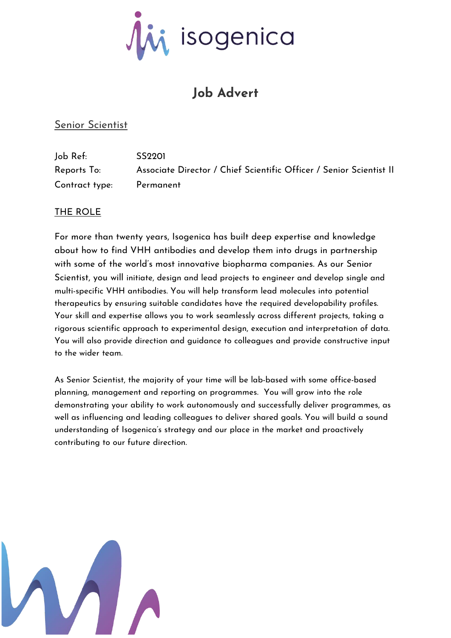

# **Job Advert**

# Senior Scientist

| Job Ref:       | SS <sub>2201</sub>                                                  |
|----------------|---------------------------------------------------------------------|
| Reports To:    | Associate Director / Chief Scientific Officer / Senior Scientist II |
| Contract type: | Permanent                                                           |

## THE ROLE

For more than twenty years, Isogenica has built deep expertise and knowledge about how to find VHH antibodies and develop them into drugs in partnership with some of the world's most innovative biopharma companies. As our Senior Scientist, you will initiate, design and lead projects to engineer and develop single and multi-specific VHH antibodies. You will help transform lead molecules into potential therapeutics by ensuring suitable candidates have the required developability profiles. Your skill and expertise allows you to work seamlessly across different projects, taking a rigorous scientific approach to experimental design, execution and interpretation of data. You will also provide direction and guidance to colleagues and provide constructive input to the wider team.

As Senior Scientist, the majority of your time will be lab-based with some office-based planning, management and reporting on programmes. You will grow into the role demonstrating your ability to work autonomously and successfully deliver programmes, as well as influencing and leading colleagues to deliver shared goals. You will build a sound understanding of Isogenica's strategy and our place in the market and proactively contributing to our future direction.

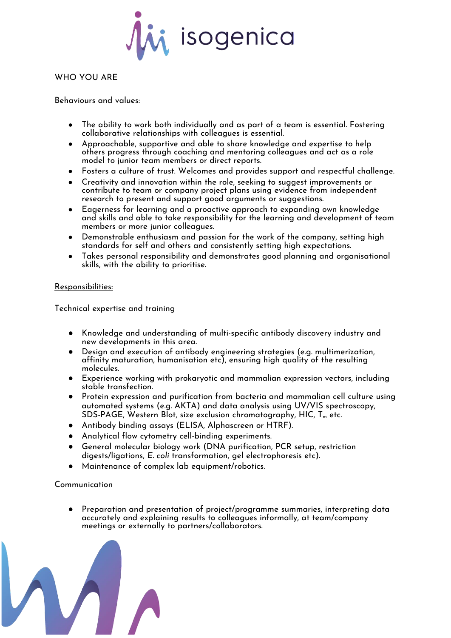

#### WHO YOU ARE

Behaviours and values:

- The ability to work both individually and as part of a team is essential. Fostering collaborative relationships with colleagues is essential.
- Approachable, supportive and able to share knowledge and expertise to help others progress through coaching and mentoring colleagues and act as a role model to junior team members or direct reports.
- Fosters a culture of trust. Welcomes and provides support and respectful challenge.
- Creativity and innovation within the role, seeking to suggest improvements or contribute to team or company project plans using evidence from independent research to present and support good arguments or suggestions.
- Eagerness for learning and a proactive approach to expanding own knowledge and skills and able to take responsibility for the learning and development of team members or more junior colleagues.
- Demonstrable enthusiasm and passion for the work of the company, setting high standards for self and others and consistently setting high expectations.
- Takes personal responsibility and demonstrates good planning and organisational skills, with the ability to prioritise.

#### Responsibilities:

Technical expertise and training

- Knowledge and understanding of multi-specific antibody discovery industry and new developments in this area.
- Design and execution of antibody engineering strategies (e.g. multimerization, affinity maturation, humanisation etc), ensuring high quality of the resulting molecules.
- Experience working with prokaryotic and mammalian expression vectors, including stable transfection.
- Protein expression and purification from bacteria and mammalian cell culture using automated systems (e.g. AKTA) and data analysis using UV/VIS spectroscopy, SDS-PAGE, Western Blot, size exclusion chromatography, HIC, T<sub>m</sub> etc.
- Antibody binding assays (ELISA, Alphascreen or HTRF).
- Analytical flow cytometry cell-binding experiments.
- General molecular biology work (DNA purification, PCR setup, restriction digests/ligations, *E. coli* transformation, gel electrophoresis etc).
- Maintenance of complex lab equipment/robotics.

#### Communication

Preparation and presentation of project/programme summaries, interpreting data accurately and explaining results to colleagues informally, at team/company meetings or externally to partners/collaborators.

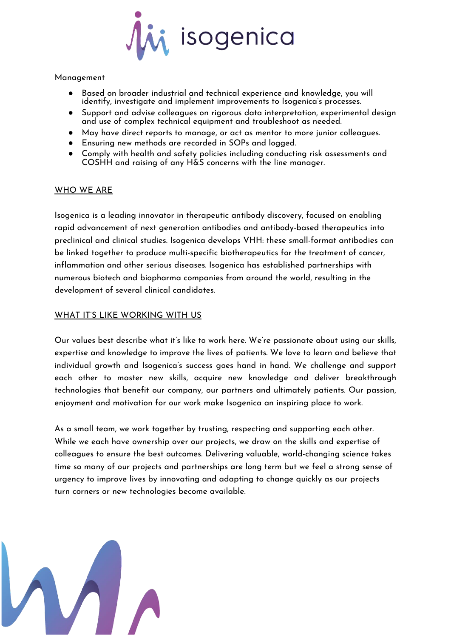

#### Management

- Based on broader industrial and technical experience and knowledge, you will identify, investigate and implement improvements to Isogenica's processes.
- Support and advise colleagues on rigorous data interpretation, experimental design and use of complex technical equipment and troubleshoot as needed.
- May have direct reports to manage, or act as mentor to more junior colleagues.
- Ensuring new methods are recorded in SOPs and logged.
- Comply with health and safety policies including conducting risk assessments and COSHH and raising of any H&S concerns with the line manager.

### WHO WE ARE

Isogenica is a leading innovator in therapeutic antibody discovery, focused on enabling rapid advancement of next generation antibodies and antibody-based therapeutics into preclinical and clinical studies. Isogenica develops VHH: these small-format antibodies can be linked together to produce multi-specific biotherapeutics for the treatment of cancer, inflammation and other serious diseases. Isogenica has established partnerships with numerous biotech and biopharma companies from around the world, resulting in the development of several clinical candidates.

## WHAT IT'S LIKE WORKING WITH US

[Our values](https://www.isogenica.com/wp-content/uploads/2019/12/isogenica-a3-values-poster-v5.pdf) best describe what it's like to work here. We're passionate about using our skills, expertise and knowledge to improve the lives of patients. We love to learn and believe that individual growth and Isogenica's success goes hand in hand. We challenge and support each other to master new skills, acquire new knowledge and deliver breakthrough technologies that benefit our company, our partners and ultimately patients. Our passion, enjoyment and motivation for our work make Isogenica an inspiring place to work.

As a small team, we work together by trusting, respecting and supporting each other. While we each have ownership over our projects, we draw on the skills and expertise of colleagues to ensure the best outcomes. Delivering valuable, world-changing science takes time so many of our projects and partnerships are long term but we feel a strong sense of urgency to improve lives by innovating and adapting to change quickly as our projects turn corners or new technologies become available.